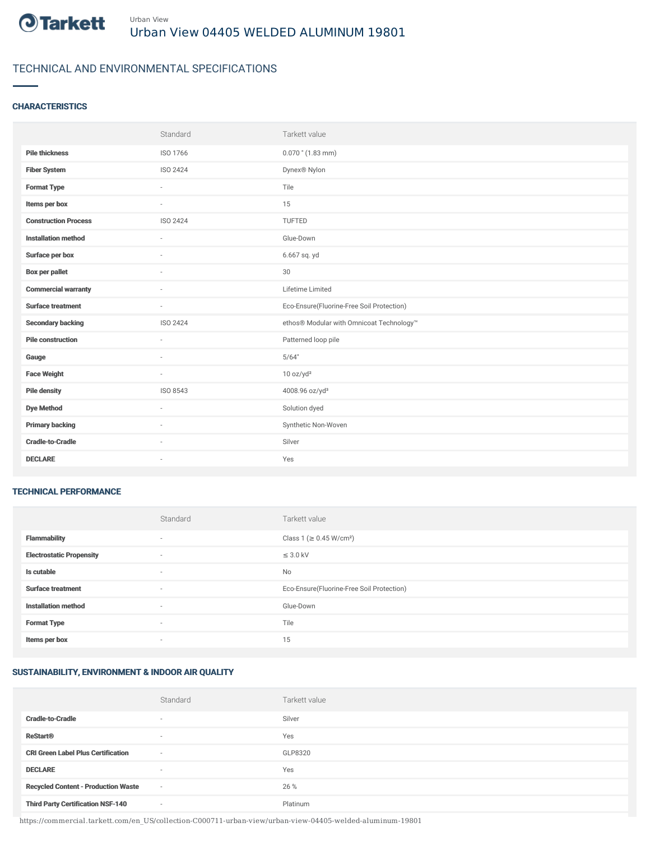

# TECHNICAL AND ENVIRONMENTAL SPECIFICATIONS

### **CHARACTERISTICS**

|                             | Standard                 | Tarkett value                             |
|-----------------------------|--------------------------|-------------------------------------------|
| <b>Pile thickness</b>       | ISO 1766                 | $0.070$ " (1.83 mm)                       |
| <b>Fiber System</b>         | <b>ISO 2424</b>          | Dynex® Nylon                              |
| <b>Format Type</b>          | ٠                        | Tile                                      |
| Items per box               | ٠                        | 15                                        |
| <b>Construction Process</b> | ISO 2424                 | TUFTED                                    |
| <b>Installation method</b>  | $\overline{\phantom{a}}$ | Glue-Down                                 |
| Surface per box             | $\sim$                   | 6.667 sq. yd                              |
| <b>Box per pallet</b>       | ٠                        | 30                                        |
| <b>Commercial warranty</b>  | $\sim$                   | Lifetime Limited                          |
| <b>Surface treatment</b>    | $\sim$                   | Eco-Ensure(Fluorine-Free Soil Protection) |
| <b>Secondary backing</b>    | ISO 2424                 | ethos® Modular with Omnicoat Technology™  |
| <b>Pile construction</b>    | ×.                       | Patterned loop pile                       |
| Gauge                       | $\sim$                   | 5/64"                                     |
| <b>Face Weight</b>          | $\overline{\phantom{a}}$ | 10 oz/yd <sup>2</sup>                     |
| <b>Pile density</b>         | ISO 8543                 | 4008.96 oz/yd <sup>3</sup>                |
| <b>Dye Method</b>           | $\sim$                   | Solution dyed                             |
| <b>Primary backing</b>      | ٠                        | Synthetic Non-Woven                       |
| <b>Cradle-to-Cradle</b>     | ٠                        | Silver                                    |
| <b>DECLARE</b>              | $\sim$                   | Yes                                       |

#### TECHNICAL PERFORMANCE

|                                 | Standard | Tarkett value                             |
|---------------------------------|----------|-------------------------------------------|
| <b>Flammability</b>             | $\sim$   | Class 1 (≥ 0.45 W/cm <sup>2</sup> )       |
| <b>Electrostatic Propensity</b> | $\sim$   | $\leq$ 3.0 kV                             |
| Is cutable                      | $\sim$   | No                                        |
| <b>Surface treatment</b>        | $\sim$   | Eco-Ensure(Fluorine-Free Soil Protection) |
| <b>Installation method</b>      | $\sim$   | Glue-Down                                 |
| <b>Format Type</b>              |          | Tile                                      |
| Items per box                   | $\sim$   | 15                                        |

# SUSTAINABILITY, ENVIRONMENT & INDOOR AIR QUALITY

|                                            | Standard                 | Tarkett value |
|--------------------------------------------|--------------------------|---------------|
| <b>Cradle-to-Cradle</b>                    | $\overline{\phantom{a}}$ | Silver        |
| <b>ReStart®</b>                            | $\overline{\phantom{a}}$ | Yes           |
| <b>CRI Green Label Plus Certification</b>  | $\overline{\phantom{a}}$ | GLP8320       |
| <b>DECLARE</b>                             | $\overline{\phantom{a}}$ | Yes           |
| <b>Recycled Content - Production Waste</b> | $\sim$                   | 26 %          |
| <b>Third Party Certification NSF-140</b>   | $\sim$                   | Platinum      |

https://commercial.tarkett.com/en\_US/collection-C000711-urban-view/urban-view-04405-welded-aluminum-19801